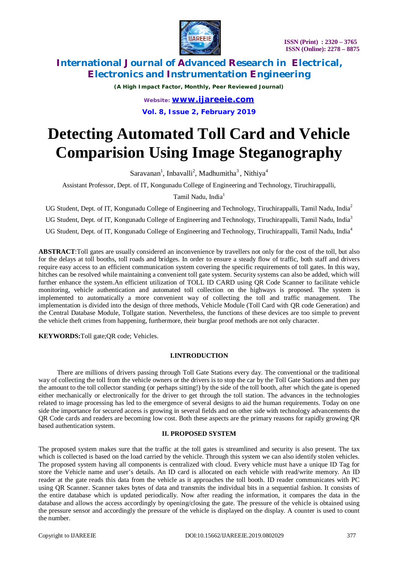

*(A High Impact Factor, Monthly, Peer Reviewed Journal)*

*Website: [www.ijareeie.com](http://www.ijareeie.com)* **Vol. 8, Issue 2, February 2019**

# **Detecting Automated Toll Card and Vehicle Comparision Using Image Steganography**

Saravanan<sup>1</sup>, Inbavalli<sup>2</sup>, Madhumitha<sup>3</sup>, Nithiya<sup>4</sup>

Assistant Professor, Dept. of IT, Kongunadu College of Engineering and Technology, Tiruchirappalli,

Tamil Nadu, India<sup>1</sup>

UG Student, Dept. of IT, Kongunadu College of Engineering and Technology, Tiruchirappalli, Tamil Nadu, India<sup>2</sup>

UG Student, Dept. of IT, Kongunadu College of Engineering and Technology, Tiruchirappalli, Tamil Nadu, India<sup>3</sup>

UG Student, Dept. of IT, Kongunadu College of Engineering and Technology, Tiruchirappalli, Tamil Nadu, India<sup>4</sup>

**ABSTRACT**:Toll gates are usually considered an inconvenience by travellers not only for the cost of the toll, but also for the delays at toll booths, toll roads and bridges. In order to ensure a steady flow of traffic, both staff and drivers require easy access to an efficient communication system covering the specific requirements of toll gates. In this way, hitches can be resolved while maintaining a convenient toll gate system. Security systems can also be added, which will further enhance the system.An efficient utilization of TOLL ID CARD using QR Code Scanner to facilitate vehicle monitoring, vehicle authentication and automated toll collection on the highways is proposed. The system is implemented to automatically a more convenient way of collecting the toll and traffic management. The implementation is divided into the design of three methods, Vehicle Module (Toll Card with QR code Generation) and the Central Database Module, Tollgate station. Nevertheless, the functions of these devices are too simple to prevent the vehicle theft crimes from happening, furthermore, their burglar proof methods are not only character.

**KEYWORDS:**Toll gate;QR code; Vehicles.

### **I.INTRODUCTION**

There are millions of drivers passing through Toll Gate Stations every day. The conventional or the traditional way of collecting the toll from the vehicle owners or the drivers is to stop the car by the Toll Gate Stations and then pay the amount to the toll collector standing (or perhaps sitting!) by the side of the toll booth, after which the gate is opened either mechanically or electronically for the driver to get through the toll station. The advances in the technologies related to image processing has led to the emergence of several designs to aid the human requirements. Today on one side the importance for secured access is growing in several fields and on other side with technology advancements the QR Code cards and readers are becoming low cost. Both these aspects are the primary reasons for rapidly growing QR based authentication system.

#### **II. PROPOSED SYSTEM**

The proposed system makes sure that the traffic at the toll gates is streamlined and security is also present. The tax which is collected is based on the load carried by the vehicle. Through this system we can also identify stolen vehicles. The proposed system having all components is centralized with cloud. Every vehicle must have a unique ID Tag for store the Vehicle name and user's details. An ID card is allocated on each vehicle with read/write memory. An ID reader at the gate reads this data from the vehicle as it approaches the toll booth. ID reader communicates with PC using QR Scanner. Scanner takes bytes of data and transmits the individual bits in a sequential fashion. It consists of the entire database which is updated periodically. Now after reading the information, it compares the data in the database and allows the access accordingly by opening/closing the gate. The pressure of the vehicle is obtained using the pressure sensor and accordingly the pressure of the vehicle is displayed on the display. A counter is used to count the number.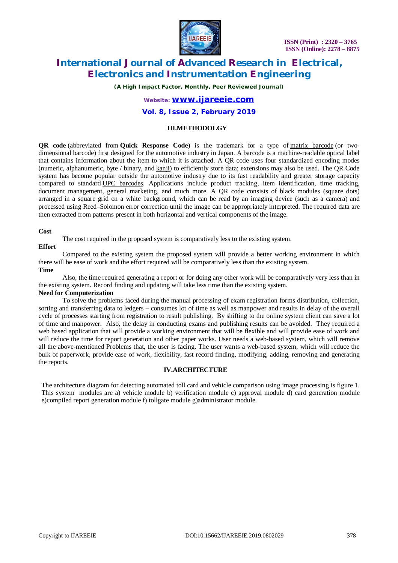

*(A High Impact Factor, Monthly, Peer Reviewed Journal)*

### *Website: [www.ijareeie.com](http://www.ijareeie.com)*

### **Vol. 8, Issue 2, February 2019**

#### **III.METHODOLGY**

**QR code** (abbreviated from **Quick Response Code**) is the trademark for a type of matrix barcode (or twodimensional <u>barcode</u>) first designed for the <u>automotive industry in Japan</u>. A barcode is a machine-readable optical label that contains information about the item to which it is attached. A QR code uses four standardized encoding modes (numeric, alphanumeric, byte / binary, and kanji) to efficiently store data; extensions may also be used. The QR Code system has become popular outside the automotive industry due to its fast readability and greater storage capacity compared to standard UPC barcodes. Applications include product tracking, item identification, time tracking, document management, general marketing, and much more. A QR code consists of black modules (square dots) arranged in a square grid on a white background, which can be read by an imaging device (such as a camera) and processed using Reed–Solomon error correction until the image can be appropriately interpreted. The required data are then extracted from patterns present in both horizontal and vertical components of the image.

#### **Cost**

The cost required in the proposed system is comparatively less to the existing system.

#### **Effort**

Compared to the existing system the proposed system will provide a better working environment in which there will be ease of work and the effort required will be comparatively less than the existing system. **Time** 

Also, the time required generating a report or for doing any other work will be comparatively very less than in the existing system. Record finding and updating will take less time than the existing system.

#### **Need for Computerization**

To solve the problems faced during the manual processing of exam registration forms distribution, collection, sorting and transferring data to ledgers – consumes lot of time as well as manpower and results in delay of the overall cycle of processes starting from registration to result publishing. By shifting to the online system client can save a lot of time and manpower. Also, the delay in conducting exams and publishing results can be avoided. They required a web based application that will provide a working environment that will be flexible and will provide ease of work and will reduce the time for report generation and other paper works. User needs a web-based system, which will remove all the above-mentioned Problems that, the user is facing. The user wants a web-based system, which will reduce the bulk of paperwork, provide ease of work, flexibility, fast record finding, modifying, adding, removing and generating the reports.

#### **IV.ARCHITECTURE**

The architecture diagram for detecting automated toll card and vehicle comparison using image processing is figure 1. This system modules are a) vehicle module b) verification module c) approval module d) card generation module e)compiled report generation module f) tollgate module g)administrator module.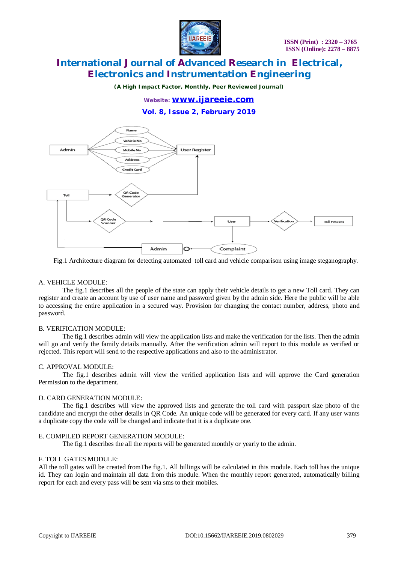

*(A High Impact Factor, Monthly, Peer Reviewed Journal)*

### *Website: [www.ijareeie.com](http://www.ijareeie.com)*

**Vol. 8, Issue 2, February 2019**



Fig.1 Architecture diagram for detecting automated toll card and vehicle comparison using image steganography.

#### A. VEHICLE MODULE:

The fig.1 describes all the people of the state can apply their vehicle details to get a new Toll card. They can register and create an account by use of user name and password given by the admin side. Here the public will be able to accessing the entire application in a secured way. Provision for changing the contact number, address, photo and password.

#### B. VERIFICATION MODULE:

The fig.1 describes admin will view the application lists and make the verification for the lists. Then the admin will go and verify the family details manually. After the verification admin will report to this module as verified or rejected. This report will send to the respective applications and also to the administrator.

#### C. APPROVAL MODULE:

The fig.1 describes admin will view the verified application lists and will approve the Card generation Permission to the department.

#### D. CARD GENERATION MODULE:

The fig.1 describes will view the approved lists and generate the toll card with passport size photo of the candidate and encrypt the other details in QR Code. An unique code will be generated for every card. If any user wants a duplicate copy the code will be changed and indicate that it is a duplicate one.

#### E. COMPILED REPORT GENERATION MODULE:

The fig.1 describes the all the reports will be generated monthly or yearly to the admin.

#### F. TOLL GATES MODULE:

All the toll gates will be created fromThe fig.1. All billings will be calculated in this module. Each toll has the unique id. They can login and maintain all data from this module. When the monthly report generated, automatically billing report for each and every pass will be sent via sms to their mobiles.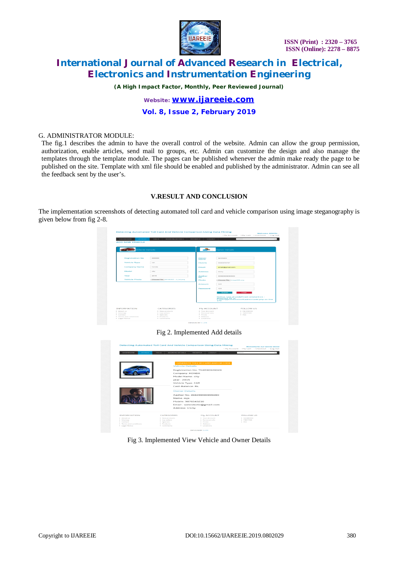

*(A High Impact Factor, Monthly, Peer Reviewed Journal)*

*Website: [www.ijareeie.com](http://www.ijareeie.com)* **Vol. 8, Issue 2, February 2019**

#### G. ADMINISTRATOR MODULE:

The fig.1 describes the admin to have the overall control of the website. Admin can allow the group permission, authorization, enable articles, send mail to groups, etc. Admin can customize the design and also manage the templates through the template module. The pages can be published whenever the admin make ready the page to be published on the site. Template with xml file should be enabled and published by the administrator. Admin can see all the feedback sent by the user's.

### **V.RESULT AND CONCLUSION**

The implementation screenshots of detecting automated toll card and vehicle comparison using image steganography is given below from fig 2-8.



### Fig 2. Implemented Add details



#### Fig 3. Implemented View Vehicle and Owner Details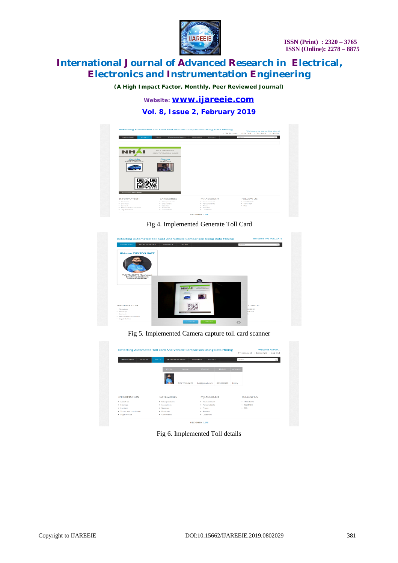

*(A High Impact Factor, Monthly, Peer Reviewed Journal)*

*Website: [www.ijareeie.com](http://www.ijareeie.com)*

**Vol. 8, Issue 2, February 2019**



Fig 4. Implemented Generate Toll Card

|                        | <b>BOOKING DETAIL</b>                                                     | FEEDBACK | LOGOUT                                     | Search        |  |
|------------------------|---------------------------------------------------------------------------|----------|--------------------------------------------|---------------|--|
|                        | <b>Welcome TUS TOLLGATE</b>                                               |          |                                            |               |  |
|                        |                                                                           |          |                                            |               |  |
|                        |                                                                           |          |                                            |               |  |
|                        | <b>TUS TOLLGATE (Customer)</b><br>Email:tvs@amail.com<br>mobile:899898989 |          |                                            |               |  |
|                        |                                                                           |          | $\sim$<br><b>STALL SECONDICATE</b>         |               |  |
|                        |                                                                           |          | JH.<br><b>CARL BALL AND CARD</b><br>Owner: |               |  |
|                        |                                                                           |          |                                            |               |  |
|                        |                                                                           |          |                                            | <b>LOW US</b> |  |
| <b>INFORMATION</b>     |                                                                           |          |                                            |               |  |
| · About us             |                                                                           |          |                                            | CEBOOK        |  |
| · Sitemap<br>· Contact |                                                                           |          |                                            | VITTER        |  |

Fig 5. Implemented Camera capture toll card scanner

| <b>DASHBOARD</b><br>VEHICLE | <b>TOLLS</b>       |            | <b>BOOKING DETAILS</b> | <b>LOGOUT</b><br>FEEDBACK |           |                |                   |  |
|-----------------------------|--------------------|------------|------------------------|---------------------------|-----------|----------------|-------------------|--|
|                             |                    |            |                        |                           |           | Search         |                   |  |
|                             |                    | Photo      | Name                   | Mail-Id                   | Mobile    | <b>Address</b> |                   |  |
|                             |                    |            |                        |                           |           |                |                   |  |
|                             |                    |            | <b>TVS TOLLGATE</b>    | tvs@gmail.com             | 899898989 | trcihy         |                   |  |
| <b>INFORMATION</b>          |                    | CATEGORIES |                        | My ACCOUNT                |           |                | <b>FOLLOW US</b>  |  |
| * About us                  | • New products     |            |                        | • Your Account            |           |                | <b>• FACEBOOK</b> |  |
| > Sitemap                   | • top sellers      |            |                        | · Personal info           |           |                | · TWITTER         |  |
| · Contact                   | > Specials         |            |                        | · Prices                  |           |                | RSS               |  |
| • Terms and conditions      | $\bullet$ Products |            |                        | · Address                 |           |                |                   |  |

Fig 6. Implemented Toll details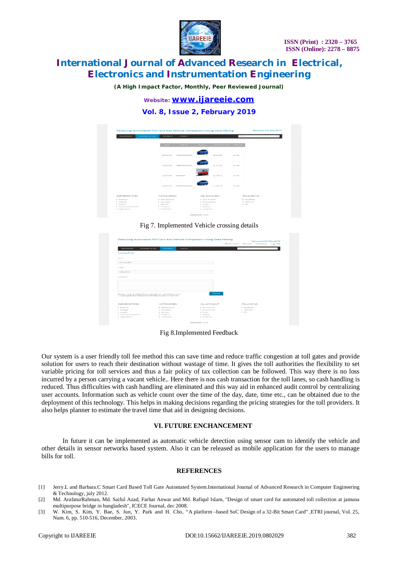

*(A High Impact Factor, Monthly, Peer Reviewed Journal)*

*Website: [www.ijareeie.com](http://www.ijareeie.com)*

**Vol. 8, Issue 2, February 2019**

| <b>DASHBOARD</b>     | <b>BOOKING DETAIL</b> | FEEDBACK                                           | <b>LOGOUT</b> |                          |                      |               | Search           |  |
|----------------------|-----------------------|----------------------------------------------------|---------------|--------------------------|----------------------|---------------|------------------|--|
|                      |                       | DATE                                               | <b>CARNO</b>  | <b>PHOTO</b>             | <b>CROSSING TIME</b> | <b>AMOUNT</b> |                  |  |
|                      |                       |                                                    |               |                          |                      |               |                  |  |
|                      |                       |                                                    |               |                          |                      |               |                  |  |
|                      |                       | 10/03/18                                           | TN4590929029  |                          | 02:12:26             | <b>Rs.56</b>  |                  |  |
|                      |                       |                                                    |               |                          |                      |               |                  |  |
|                      |                       |                                                    |               |                          |                      |               |                  |  |
|                      |                       | 12/03/10                                           | TN4590929029  |                          | 11:37:29             | Rs.56         |                  |  |
|                      |                       |                                                    |               |                          |                      |               |                  |  |
|                      |                       |                                                    |               |                          |                      |               |                  |  |
|                      |                       | 12/03/18                                           | 8908980       |                          | 11:38:31             | <b>RS.56</b>  |                  |  |
|                      |                       |                                                    |               |                          |                      |               |                  |  |
|                      |                       |                                                    |               |                          |                      |               |                  |  |
|                      |                       | 12/03/18                                           | TN4590929029  |                          | 11:39:15             | <b>Rs.56</b>  |                  |  |
|                      |                       |                                                    |               |                          |                      |               |                  |  |
|                      |                       |                                                    |               |                          |                      |               |                  |  |
| <b>INFORMATION</b>   |                       | CATEGORIES                                         |               | My ACCOUNT               |                      |               | <b>FOLLOW US</b> |  |
| * About us           |                       | · New products                                     |               | * Your Account           |                      |               | · FACEBOOK       |  |
| > Sitemap            |                       | • top sellers                                      |               | · Personal info          |                      |               | · TWITTER        |  |
| * Contact            |                       | · Specials                                         |               | » Prices                 |                      | B. R55        |                  |  |
| Terms and conditions |                       | $\blacktriangleright$ Products<br>$\star$ Comments |               | · Address<br>· Locations |                      |               |                  |  |

Fig 7. Implemented Vehicle crossing details

|                                                        |                          |        |                       | > My Account > My Cart > Checkout > Log Out |                   |  |  |  |
|--------------------------------------------------------|--------------------------|--------|-----------------------|---------------------------------------------|-------------------|--|--|--|
| <b>DASHBOARD</b><br><b>BOOKING DETAIL</b>              | <b>FEEDBACK</b>          | LOGOUT |                       | Search                                      |                   |  |  |  |
| Contact Us                                             |                          |        |                       |                                             |                   |  |  |  |
| Name                                                   |                          |        |                       |                                             |                   |  |  |  |
| TVS TOLLGATE                                           |                          |        |                       |                                             |                   |  |  |  |
| $F - P A A H$                                          |                          |        |                       |                                             |                   |  |  |  |
| tvs@gmail.com                                          |                          |        |                       |                                             |                   |  |  |  |
| Comment                                                |                          |        |                       |                                             |                   |  |  |  |
|                                                        |                          |        |                       |                                             |                   |  |  |  |
|                                                        |                          |        |                       |                                             |                   |  |  |  |
|                                                        |                          |        |                       |                                             |                   |  |  |  |
| Notice: Use of undefined constant s1 - assumed 's1' in |                          |        | <b>Submit</b>         |                                             |                   |  |  |  |
| C:\xampp\htdocs\toll\user\feedback.php on line 88      |                          |        |                       |                                             |                   |  |  |  |
| <b>INFORMATION</b>                                     | CATEGORIES               |        |                       |                                             | FOLLOW US         |  |  |  |
|                                                        |                          |        | My ACCOUNT            |                                             |                   |  |  |  |
| · About us                                             | · New products           |        | . Your Account        |                                             | <b>* FACEROOK</b> |  |  |  |
| · Sitemap                                              | * top sellers            |        | · Personal info       |                                             | · TWITTER         |  |  |  |
| · Contact                                              | · Specials<br>· Products |        | · Prices<br>· Address |                                             | PGS               |  |  |  |
| · Terms and conditions                                 |                          |        |                       |                                             |                   |  |  |  |

Fig 8.Implemented Feedback

Our system is a user friendly toll fee method this can save time and reduce traffic congestion at toll gates and provide solution for users to reach their destination without wastage of time. It gives the toll authorities the flexibility to set variable pricing for toll services and thus a fair policy of tax collection can be followed. This way there is no loss incurred by a person carrying a vacant vehicle.. Here there is nos cash transaction for the toll lanes, so cash handling is reduced. Thus difficulties with cash handling are eliminated and this way aid in enhanced audit control by centralizing user accounts. Information such as vehicle count over the time of the day, date, time etc., can be obtained due to the deployment of this technology. This helps in making decisions regarding the pricing strategies for the toll providers. It also helps planner to estimate the travel time that aid in designing decisions.

#### **VI. FUTURE ENCHANCEMENT**

In future it can be implemented as automatic vehicle detection using sensor cam to identify the vehicle and other details in sensor networks based system. Also it can be released as mobile application for the users to manage bills for toll.

#### **REFERENCES**

- [1] Jerry.L and Barbara.C Smart Card Based Toll Gate Automated System.International Journal of Advanced Research in Computer Engineering & Technology, july 2012.
- [2] Md. ArafaturRahman, Md. Saiful Azad, Farhat Anwar and Md. Rafiqul Islam, "Design of smart card for automated toll collection at jamuna multipurpose bridge in bangladesh", ICECE Journal, dec 2008.
- [3] W. Kim, S. Kim, Y. Bae, S. Jun, Y. Park and H. Cho, "A platform –based SoC Design of a 32-Bit Smart Card" ,ETRI journal, Vol. 25, Num. 6, pp. 510-516, December, 2003.